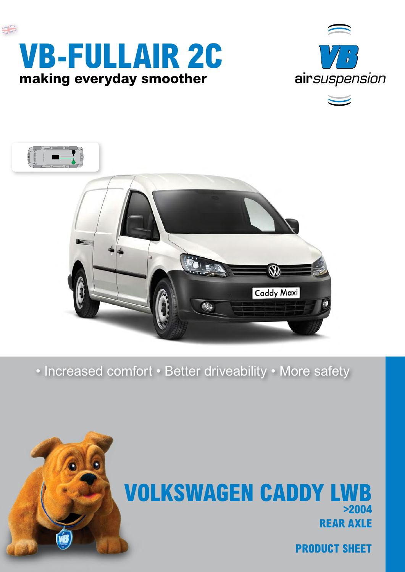



## **rear axle Volkswagen Caddy LWB >2004**

• Increased comfort • Better driveability • More safety









 $\overline{\phantom{0}}$